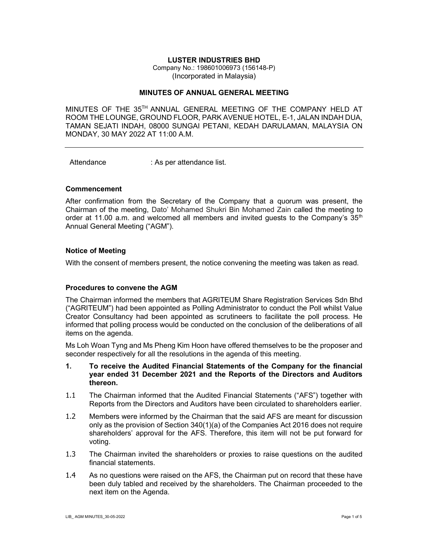#### LUSTER INDUSTRIES BHD

Company No.: 198601006973 (156148-P) (Incorporated in Malaysia)

### MINUTES OF ANNUAL GENERAL MEETING

MINUTES OF THE 35TH ANNUAL GENERAL MEETING OF THE COMPANY HELD AT ROOM THE LOUNGE, GROUND FLOOR, PARK AVENUE HOTEL, E-1, JALAN INDAH DUA, TAMAN SEJATI INDAH, 08000 SUNGAI PETANI, KEDAH DARULAMAN, MALAYSIA ON MONDAY, 30 MAY 2022 AT 11:00 A.M.

Attendance : As per attendance list.

#### Commencement

After confirmation from the Secretary of the Company that a quorum was present, the Chairman of the meeting, Dato' Mohamed Shukri Bin Mohamed Zain called the meeting to order at 11.00 a.m. and welcomed all members and invited guests to the Company's  $35<sup>th</sup>$ Annual General Meeting ("AGM").

#### Notice of Meeting

With the consent of members present, the notice convening the meeting was taken as read.

#### Procedures to convene the AGM

The Chairman informed the members that AGRITEUM Share Registration Services Sdn Bhd ("AGRITEUM") had been appointed as Polling Administrator to conduct the Poll whilst Value Creator Consultancy had been appointed as scrutineers to facilitate the poll process. He informed that polling process would be conducted on the conclusion of the deliberations of all items on the agenda.

Ms Loh Woan Tyng and Ms Pheng Kim Hoon have offered themselves to be the proposer and seconder respectively for all the resolutions in the agenda of this meeting.

- 1. To receive the Audited Financial Statements of the Company for the financial year ended 31 December 2021 and the Reports of the Directors and Auditors thereon.
- 1.1 The Chairman informed that the Audited Financial Statements ("AFS") together with Reports from the Directors and Auditors have been circulated to shareholders earlier.
- 1.2 Members were informed by the Chairman that the said AFS are meant for discussion only as the provision of Section 340(1)(a) of the Companies Act 2016 does not require shareholders' approval for the AFS. Therefore, this item will not be put forward for voting.
- 1.3 The Chairman invited the shareholders or proxies to raise questions on the audited financial statements.
- 1.4 As no questions were raised on the AFS, the Chairman put on record that these have been duly tabled and received by the shareholders. The Chairman proceeded to the next item on the Agenda.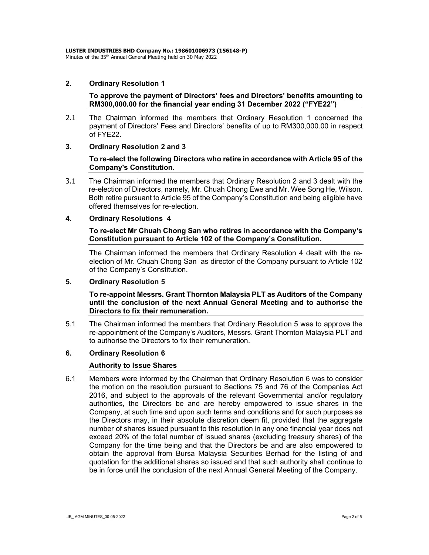### 2. Ordinary Resolution 1

To approve the payment of Directors' fees and Directors' benefits amounting to RM300,000.00 for the financial year ending 31 December 2022 ("FYE22")

- 2.1 The Chairman informed the members that Ordinary Resolution 1 concerned the payment of Directors' Fees and Directors' benefits of up to RM300,000.00 in respect of FYE22.
- 3. Ordinary Resolution 2 and 3

## To re-elect the following Directors who retire in accordance with Article 95 of the Company's Constitution.

3.1 The Chairman informed the members that Ordinary Resolution 2 and 3 dealt with the re-election of Directors, namely, Mr. Chuah Chong Ewe and Mr. Wee Song He, Wilson. Both retire pursuant to Article 95 of the Company's Constitution and being eligible have offered themselves for re-election.

## 4. Ordinary Resolutions 4

## To re-elect Mr Chuah Chong San who retires in accordance with the Company's Constitution pursuant to Article 102 of the Company's Constitution.

The Chairman informed the members that Ordinary Resolution 4 dealt with the reelection of Mr. Chuah Chong San as director of the Company pursuant to Article 102 of the Company's Constitution.

## 5. Ordinary Resolution 5

To re-appoint Messrs. Grant Thornton Malaysia PLT as Auditors of the Company until the conclusion of the next Annual General Meeting and to authorise the Directors to fix their remuneration.

5.1 The Chairman informed the members that Ordinary Resolution 5 was to approve the re-appointment of the Company's Auditors, Messrs. Grant Thornton Malaysia PLT and to authorise the Directors to fix their remuneration.

#### 6. Ordinary Resolution 6

#### Authority to Issue Shares

6.1 Members were informed by the Chairman that Ordinary Resolution 6 was to consider the motion on the resolution pursuant to Sections 75 and 76 of the Companies Act 2016, and subject to the approvals of the relevant Governmental and/or regulatory authorities, the Directors be and are hereby empowered to issue shares in the Company, at such time and upon such terms and conditions and for such purposes as the Directors may, in their absolute discretion deem fit, provided that the aggregate number of shares issued pursuant to this resolution in any one financial year does not exceed 20% of the total number of issued shares (excluding treasury shares) of the Company for the time being and that the Directors be and are also empowered to obtain the approval from Bursa Malaysia Securities Berhad for the listing of and quotation for the additional shares so issued and that such authority shall continue to be in force until the conclusion of the next Annual General Meeting of the Company.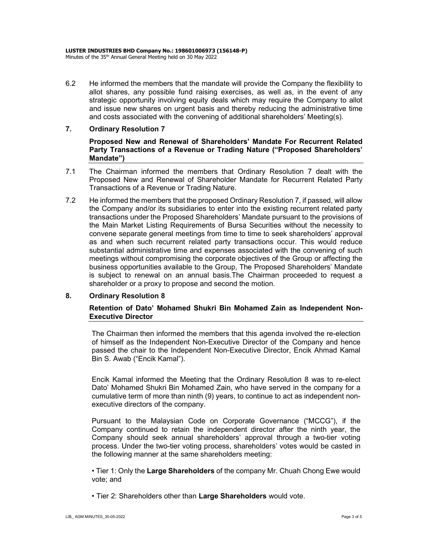6.2 He informed the members that the mandate will provide the Company the flexibility to allot shares, any possible fund raising exercises, as well as, in the event of any strategic opportunity involving equity deals which may require the Company to allot and issue new shares on urgent basis and thereby reducing the administrative time and costs associated with the convening of additional shareholders' Meeting(s).

## 7. Ordinary Resolution 7

Proposed New and Renewal of Shareholders' Mandate For Recurrent Related Party Transactions of a Revenue or Trading Nature ("Proposed Shareholders' Mandate")

- 7.1 The Chairman informed the members that Ordinary Resolution 7 dealt with the Proposed New and Renewal of Shareholder Mandate for Recurrent Related Party Transactions of a Revenue or Trading Nature.
- 7.2 He informed the members that the proposed Ordinary Resolution 7, if passed, will allow the Company and/or its subsidiaries to enter into the existing recurrent related party transactions under the Proposed Shareholders' Mandate pursuant to the provisions of the Main Market Listing Requirements of Bursa Securities without the necessity to convene separate general meetings from time to time to seek shareholders' approval as and when such recurrent related party transactions occur. This would reduce substantial administrative time and expenses associated with the convening of such meetings without compromising the corporate objectives of the Group or affecting the business opportunities available to the Group, The Proposed Shareholders' Mandate is subject to renewal on an annual basis.The Chairman proceeded to request a shareholder or a proxy to propose and second the motion.

#### 8. Ordinary Resolution 8

## Retention of Dato' Mohamed Shukri Bin Mohamed Zain as Independent Non-Executive Director

The Chairman then informed the members that this agenda involved the re-election of himself as the Independent Non-Executive Director of the Company and hence passed the chair to the Independent Non-Executive Director, Encik Ahmad Kamal Bin S. Awab ("Encik Kamal").

Encik Kamal informed the Meeting that the Ordinary Resolution 8 was to re-elect Dato' Mohamed Shukri Bin Mohamed Zain, who have served in the company for a cumulative term of more than ninth (9) years, to continue to act as independent nonexecutive directors of the company.

Pursuant to the Malaysian Code on Corporate Governance ("MCCG"), if the Company continued to retain the independent director after the ninth year, the Company should seek annual shareholders' approval through a two-tier voting process. Under the two-tier voting process, shareholders' votes would be casted in the following manner at the same shareholders meeting:

• Tier 1: Only the Large Shareholders of the company Mr. Chuah Chong Ewe would vote; and

• Tier 2: Shareholders other than Large Shareholders would vote.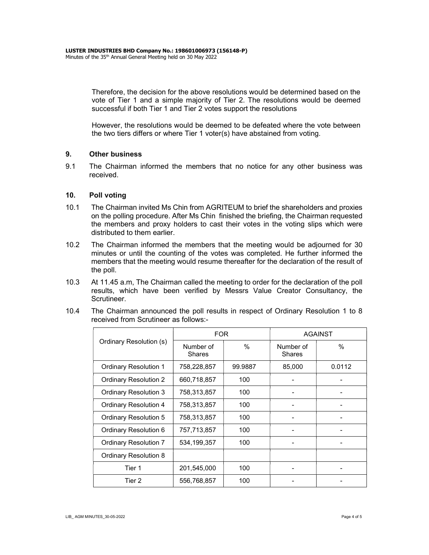Therefore, the decision for the above resolutions would be determined based on the vote of Tier 1 and a simple majority of Tier 2. The resolutions would be deemed successful if both Tier 1 and Tier 2 votes support the resolutions

However, the resolutions would be deemed to be defeated where the vote between the two tiers differs or where Tier 1 voter(s) have abstained from voting.

## 9. Other business

9.1 The Chairman informed the members that no notice for any other business was received.

## 10. Poll voting

- 10.1 The Chairman invited Ms Chin from AGRITEUM to brief the shareholders and proxies on the polling procedure. After Ms Chin finished the briefing, the Chairman requested the members and proxy holders to cast their votes in the voting slips which were distributed to them earlier.
- 10.2 The Chairman informed the members that the meeting would be adjourned for 30 minutes or until the counting of the votes was completed. He further informed the members that the meeting would resume thereafter for the declaration of the result of the poll.
- 10.3 At 11.45 a.m, The Chairman called the meeting to order for the declaration of the poll results, which have been verified by Messrs Value Creator Consultancy, the Scrutineer.
- 10.4 The Chairman announced the poll results in respect of Ordinary Resolution 1 to 8 received from Scrutineer as follows:-

| Ordinary Resolution (s)      | <b>FOR</b>                 |         | <b>AGAINST</b>             |        |
|------------------------------|----------------------------|---------|----------------------------|--------|
|                              | Number of<br><b>Shares</b> | $\%$    | Number of<br><b>Shares</b> | $\%$   |
| <b>Ordinary Resolution 1</b> | 758,228,857                | 99.9887 | 85,000                     | 0.0112 |
| <b>Ordinary Resolution 2</b> | 660,718,857                | 100     |                            |        |
| <b>Ordinary Resolution 3</b> | 758,313,857                | 100     |                            |        |
| <b>Ordinary Resolution 4</b> | 758,313,857                | 100     |                            |        |
| <b>Ordinary Resolution 5</b> | 758,313,857                | 100     |                            |        |
| Ordinary Resolution 6        | 757,713,857                | 100     |                            |        |
| <b>Ordinary Resolution 7</b> | 534, 199, 357              | 100     |                            |        |
| Ordinary Resolution 8        |                            |         |                            |        |
| Tier 1                       | 201,545,000                | 100     |                            |        |
| Tier 2                       | 556,768,857                | 100     |                            |        |